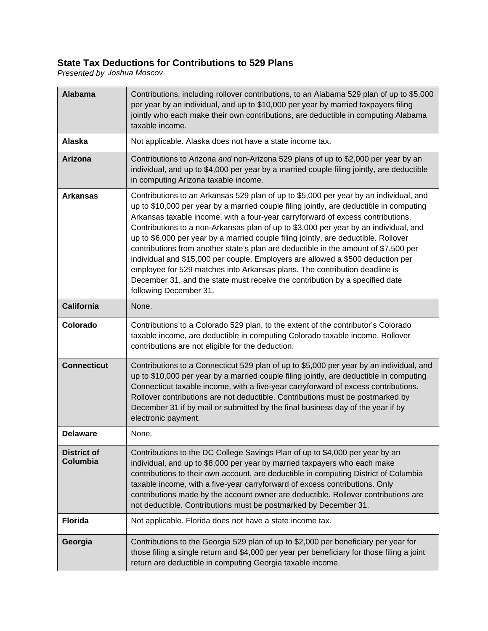## **State Tax Deductions for Contributions to 529 Plans**

*Presented by Joshua Moscov*

| <b>Alabama</b>                 | Contributions, including rollover contributions, to an Alabama 529 plan of up to \$5,000<br>per year by an individual, and up to \$10,000 per year by married taxpayers filing<br>jointly who each make their own contributions, are deductible in computing Alabama<br>taxable income.                                                                                                                                                                                                                                                                                                                                                                                                                                                                                                                              |
|--------------------------------|----------------------------------------------------------------------------------------------------------------------------------------------------------------------------------------------------------------------------------------------------------------------------------------------------------------------------------------------------------------------------------------------------------------------------------------------------------------------------------------------------------------------------------------------------------------------------------------------------------------------------------------------------------------------------------------------------------------------------------------------------------------------------------------------------------------------|
| <b>Alaska</b>                  | Not applicable. Alaska does not have a state income tax.                                                                                                                                                                                                                                                                                                                                                                                                                                                                                                                                                                                                                                                                                                                                                             |
| Arizona                        | Contributions to Arizona and non-Arizona 529 plans of up to \$2,000 per year by an<br>individual, and up to \$4,000 per year by a married couple filing jointly, are deductible<br>in computing Arizona taxable income.                                                                                                                                                                                                                                                                                                                                                                                                                                                                                                                                                                                              |
| <b>Arkansas</b>                | Contributions to an Arkansas 529 plan of up to \$5,000 per year by an individual, and<br>up to \$10,000 per year by a married couple filing jointly, are deductible in computing<br>Arkansas taxable income, with a four-year carryforward of excess contributions.<br>Contributions to a non-Arkansas plan of up to \$3,000 per year by an individual, and<br>up to \$6,000 per year by a married couple filing jointly, are deductible. Rollover<br>contributions from another state's plan are deductible in the amount of \$7,500 per<br>individual and \$15,000 per couple. Employers are allowed a \$500 deduction per<br>employee for 529 matches into Arkansas plans. The contribution deadline is<br>December 31, and the state must receive the contribution by a specified date<br>following December 31. |
| <b>California</b>              | None.                                                                                                                                                                                                                                                                                                                                                                                                                                                                                                                                                                                                                                                                                                                                                                                                                |
| Colorado                       | Contributions to a Colorado 529 plan, to the extent of the contributor's Colorado<br>taxable income, are deductible in computing Colorado taxable income. Rollover<br>contributions are not eligible for the deduction.                                                                                                                                                                                                                                                                                                                                                                                                                                                                                                                                                                                              |
| <b>Connecticut</b>             | Contributions to a Connecticut 529 plan of up to \$5,000 per year by an individual, and<br>up to \$10,000 per year by a married couple filing jointly, are deductible in computing<br>Connecticut taxable income, with a five-year carryforward of excess contributions.<br>Rollover contributions are not deductible. Contributions must be postmarked by<br>December 31 if by mail or submitted by the final business day of the year if by<br>electronic payment.                                                                                                                                                                                                                                                                                                                                                 |
| <b>Delaware</b>                | None.                                                                                                                                                                                                                                                                                                                                                                                                                                                                                                                                                                                                                                                                                                                                                                                                                |
| <b>District of</b><br>Columbia | Contributions to the DC College Savings Plan of up to \$4,000 per year by an<br>individual, and up to \$8,000 per year by married taxpayers who each make<br>contributions to their own account, are deductible in computing District of Columbia<br>taxable income, with a five-year carryforward of excess contributions. Only<br>contributions made by the account owner are deductible. Rollover contributions are<br>not deductible. Contributions must be postmarked by December 31.                                                                                                                                                                                                                                                                                                                           |
| <b>Florida</b>                 | Not applicable. Florida does not have a state income tax.                                                                                                                                                                                                                                                                                                                                                                                                                                                                                                                                                                                                                                                                                                                                                            |
| Georgia                        | Contributions to the Georgia 529 plan of up to \$2,000 per beneficiary per year for<br>those filing a single return and \$4,000 per year per beneficiary for those filing a joint<br>return are deductible in computing Georgia taxable income.                                                                                                                                                                                                                                                                                                                                                                                                                                                                                                                                                                      |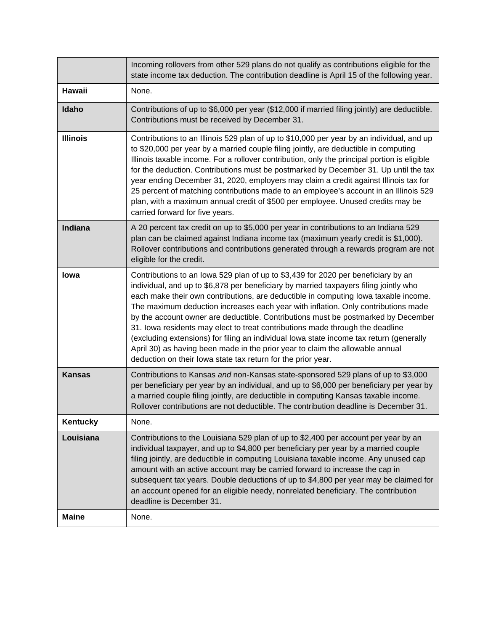|                 | Incoming rollovers from other 529 plans do not qualify as contributions eligible for the<br>state income tax deduction. The contribution deadline is April 15 of the following year.                                                                                                                                                                                                                                                                                                                                                                                                                                                                                                                                                                                     |
|-----------------|--------------------------------------------------------------------------------------------------------------------------------------------------------------------------------------------------------------------------------------------------------------------------------------------------------------------------------------------------------------------------------------------------------------------------------------------------------------------------------------------------------------------------------------------------------------------------------------------------------------------------------------------------------------------------------------------------------------------------------------------------------------------------|
| <b>Hawaii</b>   | None.                                                                                                                                                                                                                                                                                                                                                                                                                                                                                                                                                                                                                                                                                                                                                                    |
| Idaho           | Contributions of up to \$6,000 per year (\$12,000 if married filing jointly) are deductible.<br>Contributions must be received by December 31.                                                                                                                                                                                                                                                                                                                                                                                                                                                                                                                                                                                                                           |
| <b>Illinois</b> | Contributions to an Illinois 529 plan of up to \$10,000 per year by an individual, and up<br>to \$20,000 per year by a married couple filing jointly, are deductible in computing<br>Illinois taxable income. For a rollover contribution, only the principal portion is eligible<br>for the deduction. Contributions must be postmarked by December 31. Up until the tax<br>year ending December 31, 2020, employers may claim a credit against Illinois tax for<br>25 percent of matching contributions made to an employee's account in an Illinois 529<br>plan, with a maximum annual credit of \$500 per employee. Unused credits may be<br>carried forward for five years.                                                                                         |
| Indiana         | A 20 percent tax credit on up to \$5,000 per year in contributions to an Indiana 529<br>plan can be claimed against Indiana income tax (maximum yearly credit is \$1,000).<br>Rollover contributions and contributions generated through a rewards program are not<br>eligible for the credit.                                                                                                                                                                                                                                                                                                                                                                                                                                                                           |
| lowa            | Contributions to an lowa 529 plan of up to \$3,439 for 2020 per beneficiary by an<br>individual, and up to \$6,878 per beneficiary by married taxpayers filing jointly who<br>each make their own contributions, are deductible in computing lowa taxable income.<br>The maximum deduction increases each year with inflation. Only contributions made<br>by the account owner are deductible. Contributions must be postmarked by December<br>31. Iowa residents may elect to treat contributions made through the deadline<br>(excluding extensions) for filing an individual lowa state income tax return (generally<br>April 30) as having been made in the prior year to claim the allowable annual<br>deduction on their lowa state tax return for the prior year. |
| <b>Kansas</b>   | Contributions to Kansas and non-Kansas state-sponsored 529 plans of up to \$3,000<br>per beneficiary per year by an individual, and up to \$6,000 per beneficiary per year by<br>a married couple filing jointly, are deductible in computing Kansas taxable income.<br>Rollover contributions are not deductible. The contribution deadline is December 31.                                                                                                                                                                                                                                                                                                                                                                                                             |
| Kentucky        | None.                                                                                                                                                                                                                                                                                                                                                                                                                                                                                                                                                                                                                                                                                                                                                                    |
| Louisiana       | Contributions to the Louisiana 529 plan of up to \$2,400 per account per year by an<br>individual taxpayer, and up to \$4,800 per beneficiary per year by a married couple<br>filing jointly, are deductible in computing Louisiana taxable income. Any unused cap<br>amount with an active account may be carried forward to increase the cap in<br>subsequent tax years. Double deductions of up to \$4,800 per year may be claimed for<br>an account opened for an eligible needy, nonrelated beneficiary. The contribution<br>deadline is December 31.                                                                                                                                                                                                               |
| <b>Maine</b>    | None.                                                                                                                                                                                                                                                                                                                                                                                                                                                                                                                                                                                                                                                                                                                                                                    |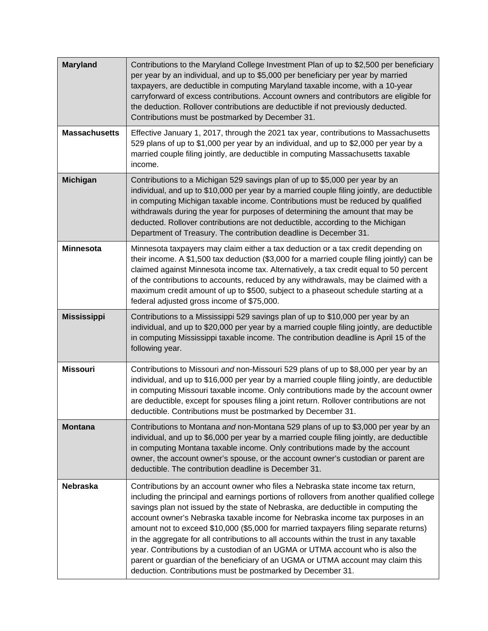| <b>Maryland</b>      | Contributions to the Maryland College Investment Plan of up to \$2,500 per beneficiary<br>per year by an individual, and up to \$5,000 per beneficiary per year by married<br>taxpayers, are deductible in computing Maryland taxable income, with a 10-year<br>carryforward of excess contributions. Account owners and contributors are eligible for<br>the deduction. Rollover contributions are deductible if not previously deducted.<br>Contributions must be postmarked by December 31.                                                                                                                                                                                                                                                                            |
|----------------------|---------------------------------------------------------------------------------------------------------------------------------------------------------------------------------------------------------------------------------------------------------------------------------------------------------------------------------------------------------------------------------------------------------------------------------------------------------------------------------------------------------------------------------------------------------------------------------------------------------------------------------------------------------------------------------------------------------------------------------------------------------------------------|
| <b>Massachusetts</b> | Effective January 1, 2017, through the 2021 tax year, contributions to Massachusetts<br>529 plans of up to \$1,000 per year by an individual, and up to \$2,000 per year by a<br>married couple filing jointly, are deductible in computing Massachusetts taxable<br>income.                                                                                                                                                                                                                                                                                                                                                                                                                                                                                              |
| <b>Michigan</b>      | Contributions to a Michigan 529 savings plan of up to \$5,000 per year by an<br>individual, and up to \$10,000 per year by a married couple filing jointly, are deductible<br>in computing Michigan taxable income. Contributions must be reduced by qualified<br>withdrawals during the year for purposes of determining the amount that may be<br>deducted. Rollover contributions are not deductible, according to the Michigan<br>Department of Treasury. The contribution deadline is December 31.                                                                                                                                                                                                                                                                   |
| <b>Minnesota</b>     | Minnesota taxpayers may claim either a tax deduction or a tax credit depending on<br>their income. A \$1,500 tax deduction (\$3,000 for a married couple filing jointly) can be<br>claimed against Minnesota income tax. Alternatively, a tax credit equal to 50 percent<br>of the contributions to accounts, reduced by any withdrawals, may be claimed with a<br>maximum credit amount of up to \$500, subject to a phaseout schedule starting at a<br>federal adjusted gross income of \$75,000.                                                                                                                                                                                                                                                                       |
| <b>Mississippi</b>   | Contributions to a Mississippi 529 savings plan of up to \$10,000 per year by an<br>individual, and up to \$20,000 per year by a married couple filing jointly, are deductible<br>in computing Mississippi taxable income. The contribution deadline is April 15 of the<br>following year.                                                                                                                                                                                                                                                                                                                                                                                                                                                                                |
| <b>Missouri</b>      | Contributions to Missouri and non-Missouri 529 plans of up to \$8,000 per year by an<br>individual, and up to \$16,000 per year by a married couple filing jointly, are deductible<br>in computing Missouri taxable income. Only contributions made by the account owner<br>are deductible, except for spouses filing a joint return. Rollover contributions are not<br>deductible. Contributions must be postmarked by December 31.                                                                                                                                                                                                                                                                                                                                      |
| <b>Montana</b>       | Contributions to Montana and non-Montana 529 plans of up to \$3,000 per year by an<br>individual, and up to \$6,000 per year by a married couple filing jointly, are deductible<br>in computing Montana taxable income. Only contributions made by the account<br>owner, the account owner's spouse, or the account owner's custodian or parent are<br>deductible. The contribution deadline is December 31.                                                                                                                                                                                                                                                                                                                                                              |
| <b>Nebraska</b>      | Contributions by an account owner who files a Nebraska state income tax return,<br>including the principal and earnings portions of rollovers from another qualified college<br>savings plan not issued by the state of Nebraska, are deductible in computing the<br>account owner's Nebraska taxable income for Nebraska income tax purposes in an<br>amount not to exceed \$10,000 (\$5,000 for married taxpayers filing separate returns)<br>in the aggregate for all contributions to all accounts within the trust in any taxable<br>year. Contributions by a custodian of an UGMA or UTMA account who is also the<br>parent or guardian of the beneficiary of an UGMA or UTMA account may claim this<br>deduction. Contributions must be postmarked by December 31. |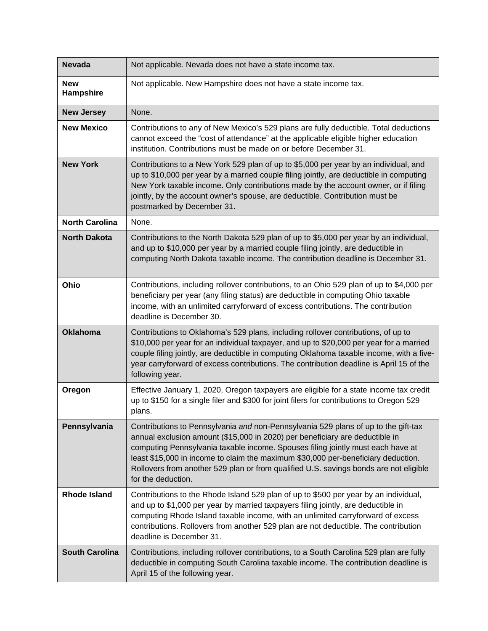| <b>Nevada</b>           | Not applicable. Nevada does not have a state income tax.                                                                                                                                                                                                                                                                                                                                                                                                  |
|-------------------------|-----------------------------------------------------------------------------------------------------------------------------------------------------------------------------------------------------------------------------------------------------------------------------------------------------------------------------------------------------------------------------------------------------------------------------------------------------------|
| <b>New</b><br>Hampshire | Not applicable. New Hampshire does not have a state income tax.                                                                                                                                                                                                                                                                                                                                                                                           |
| <b>New Jersey</b>       | None.                                                                                                                                                                                                                                                                                                                                                                                                                                                     |
| <b>New Mexico</b>       | Contributions to any of New Mexico's 529 plans are fully deductible. Total deductions<br>cannot exceed the "cost of attendance" at the applicable eligible higher education<br>institution. Contributions must be made on or before December 31.                                                                                                                                                                                                          |
| <b>New York</b>         | Contributions to a New York 529 plan of up to \$5,000 per year by an individual, and<br>up to \$10,000 per year by a married couple filing jointly, are deductible in computing<br>New York taxable income. Only contributions made by the account owner, or if filing<br>jointly, by the account owner's spouse, are deductible. Contribution must be<br>postmarked by December 31.                                                                      |
| <b>North Carolina</b>   | None.                                                                                                                                                                                                                                                                                                                                                                                                                                                     |
| <b>North Dakota</b>     | Contributions to the North Dakota 529 plan of up to \$5,000 per year by an individual,<br>and up to \$10,000 per year by a married couple filing jointly, are deductible in<br>computing North Dakota taxable income. The contribution deadline is December 31.                                                                                                                                                                                           |
| Ohio                    | Contributions, including rollover contributions, to an Ohio 529 plan of up to \$4,000 per<br>beneficiary per year (any filing status) are deductible in computing Ohio taxable<br>income, with an unlimited carryforward of excess contributions. The contribution<br>deadline is December 30.                                                                                                                                                            |
| <b>Oklahoma</b>         | Contributions to Oklahoma's 529 plans, including rollover contributions, of up to<br>\$10,000 per year for an individual taxpayer, and up to \$20,000 per year for a married<br>couple filing jointly, are deductible in computing Oklahoma taxable income, with a five-<br>year carryforward of excess contributions. The contribution deadline is April 15 of the<br>following year.                                                                    |
| Oregon                  | Effective January 1, 2020, Oregon taxpayers are eligible for a state income tax credit<br>up to \$150 for a single filer and \$300 for joint filers for contributions to Oregon 529<br>plans.                                                                                                                                                                                                                                                             |
| Pennsylvania            | Contributions to Pennsylvania and non-Pennsylvania 529 plans of up to the gift-tax<br>annual exclusion amount (\$15,000 in 2020) per beneficiary are deductible in<br>computing Pennsylvania taxable income. Spouses filing jointly must each have at<br>least \$15,000 in income to claim the maximum \$30,000 per-beneficiary deduction.<br>Rollovers from another 529 plan or from qualified U.S. savings bonds are not eligible<br>for the deduction. |
| <b>Rhode Island</b>     | Contributions to the Rhode Island 529 plan of up to \$500 per year by an individual,<br>and up to \$1,000 per year by married taxpayers filing jointly, are deductible in<br>computing Rhode Island taxable income, with an unlimited carryforward of excess<br>contributions. Rollovers from another 529 plan are not deductible. The contribution<br>deadline is December 31.                                                                           |
| <b>South Carolina</b>   | Contributions, including rollover contributions, to a South Carolina 529 plan are fully<br>deductible in computing South Carolina taxable income. The contribution deadline is<br>April 15 of the following year.                                                                                                                                                                                                                                         |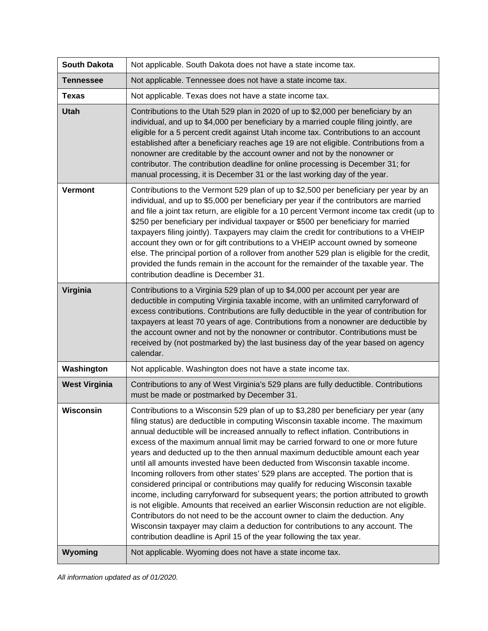| <b>South Dakota</b>  | Not applicable. South Dakota does not have a state income tax.                                                                                                                                                                                                                                                                                                                                                                                                                                                                                                                                                                                                                                                                                                                                                                                                                                                                                                                                                                                                                                                             |
|----------------------|----------------------------------------------------------------------------------------------------------------------------------------------------------------------------------------------------------------------------------------------------------------------------------------------------------------------------------------------------------------------------------------------------------------------------------------------------------------------------------------------------------------------------------------------------------------------------------------------------------------------------------------------------------------------------------------------------------------------------------------------------------------------------------------------------------------------------------------------------------------------------------------------------------------------------------------------------------------------------------------------------------------------------------------------------------------------------------------------------------------------------|
| <b>Tennessee</b>     | Not applicable. Tennessee does not have a state income tax.                                                                                                                                                                                                                                                                                                                                                                                                                                                                                                                                                                                                                                                                                                                                                                                                                                                                                                                                                                                                                                                                |
| <b>Texas</b>         | Not applicable. Texas does not have a state income tax.                                                                                                                                                                                                                                                                                                                                                                                                                                                                                                                                                                                                                                                                                                                                                                                                                                                                                                                                                                                                                                                                    |
| <b>Utah</b>          | Contributions to the Utah 529 plan in 2020 of up to \$2,000 per beneficiary by an<br>individual, and up to \$4,000 per beneficiary by a married couple filing jointly, are<br>eligible for a 5 percent credit against Utah income tax. Contributions to an account<br>established after a beneficiary reaches age 19 are not eligible. Contributions from a<br>nonowner are creditable by the account owner and not by the nonowner or<br>contributor. The contribution deadline for online processing is December 31; for<br>manual processing, it is December 31 or the last working day of the year.                                                                                                                                                                                                                                                                                                                                                                                                                                                                                                                    |
| <b>Vermont</b>       | Contributions to the Vermont 529 plan of up to \$2,500 per beneficiary per year by an<br>individual, and up to \$5,000 per beneficiary per year if the contributors are married<br>and file a joint tax return, are eligible for a 10 percent Vermont income tax credit (up to<br>\$250 per beneficiary per individual taxpayer or \$500 per beneficiary for married<br>taxpayers filing jointly). Taxpayers may claim the credit for contributions to a VHEIP<br>account they own or for gift contributions to a VHEIP account owned by someone<br>else. The principal portion of a rollover from another 529 plan is eligible for the credit,<br>provided the funds remain in the account for the remainder of the taxable year. The<br>contribution deadline is December 31.                                                                                                                                                                                                                                                                                                                                            |
| Virginia             | Contributions to a Virginia 529 plan of up to \$4,000 per account per year are<br>deductible in computing Virginia taxable income, with an unlimited carryforward of<br>excess contributions. Contributions are fully deductible in the year of contribution for<br>taxpayers at least 70 years of age. Contributions from a nonowner are deductible by<br>the account owner and not by the nonowner or contributor. Contributions must be<br>received by (not postmarked by) the last business day of the year based on agency<br>calendar.                                                                                                                                                                                                                                                                                                                                                                                                                                                                                                                                                                               |
| Washington           | Not applicable. Washington does not have a state income tax.                                                                                                                                                                                                                                                                                                                                                                                                                                                                                                                                                                                                                                                                                                                                                                                                                                                                                                                                                                                                                                                               |
| <b>West Virginia</b> | Contributions to any of West Virginia's 529 plans are fully deductible. Contributions<br>must be made or postmarked by December 31.                                                                                                                                                                                                                                                                                                                                                                                                                                                                                                                                                                                                                                                                                                                                                                                                                                                                                                                                                                                        |
| <b>Wisconsin</b>     | Contributions to a Wisconsin 529 plan of up to \$3,280 per beneficiary per year (any<br>filing status) are deductible in computing Wisconsin taxable income. The maximum<br>annual deductible will be increased annually to reflect inflation. Contributions in<br>excess of the maximum annual limit may be carried forward to one or more future<br>years and deducted up to the then annual maximum deductible amount each year<br>until all amounts invested have been deducted from Wisconsin taxable income.<br>Incoming rollovers from other states' 529 plans are accepted. The portion that is<br>considered principal or contributions may qualify for reducing Wisconsin taxable<br>income, including carryforward for subsequent years; the portion attributed to growth<br>is not eligible. Amounts that received an earlier Wisconsin reduction are not eligible.<br>Contributors do not need to be the account owner to claim the deduction. Any<br>Wisconsin taxpayer may claim a deduction for contributions to any account. The<br>contribution deadline is April 15 of the year following the tax year. |
| Wyoming              | Not applicable. Wyoming does not have a state income tax.                                                                                                                                                                                                                                                                                                                                                                                                                                                                                                                                                                                                                                                                                                                                                                                                                                                                                                                                                                                                                                                                  |

*All information updated as of 01/2020.*